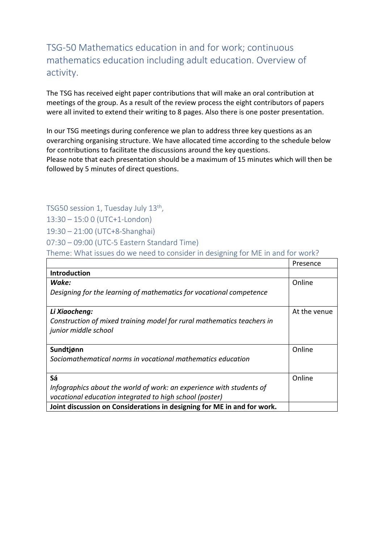TSG-50 Mathematics education in and for work; continuous mathematics education including adult education. Overview of activity.

The TSG has received eight paper contributions that will make an oral contribution at meetings of the group. As a result of the review process the eight contributors of papers were all invited to extend their writing to 8 pages. Also there is one poster presentation.

In our TSG meetings during conference we plan to address three key questions as an overarching organising structure. We have allocated time according to the schedule below for contributions to facilitate the discussions around the key questions.

Please note that each presentation should be a maximum of 15 minutes which will then be followed by 5 minutes of direct questions.

TSG50 session 1, Tuesday July 13th,

13:30 – 15:0 0 (UTC+1-London)

19:30 – 21:00 (UTC+8-Shanghai)

07:30 – 09:00 (UTC-5 Eastern Standard Time)

Theme: What issues do we need to consider in designing for ME in and for work?

|                                                                         | Presence     |
|-------------------------------------------------------------------------|--------------|
| Introduction                                                            |              |
| Wake:                                                                   | Online       |
| Designing for the learning of mathematics for vocational competence     |              |
| Li Xiaocheng:                                                           | At the venue |
| Construction of mixed training model for rural mathematics teachers in  |              |
| junior middle school                                                    |              |
|                                                                         |              |
| Sundtjønn                                                               | Online       |
| Sociomathematical norms in vocational mathematics education             |              |
|                                                                         |              |
| Sá                                                                      | Online       |
| Infographics about the world of work: an experience with students of    |              |
| vocational education integrated to high school (poster)                 |              |
| Joint discussion on Considerations in designing for ME in and for work. |              |